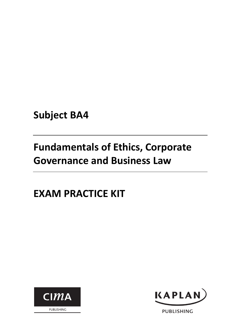**Subject BA4**

# **Fundamentals of Ethics, Corporate Governance and Business Law**

# **EXAM PRACTICE KIT**





**PUBLISHING**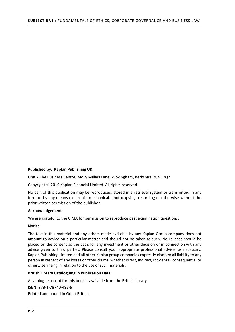#### **Published by: Kaplan Publishing UK**

Unit 2 The Business Centre, Molly Millars Lane, Wokingham, Berkshire RG41 2QZ

Copyright © 2019 Kaplan Financial Limited. All rights reserved.

No part of this publication may be reproduced, stored in a retrieval system or transmitted in any form or by any means electronic, mechanical, photocopying, recording or otherwise without the prior written permission of the publisher.

#### **Acknowledgements**

We are grateful to the CIMA for permission to reproduce past examination questions.

#### **Notice**

The text in this material and any others made available by any Kaplan Group company does not amount to advice on a particular matter and should not be taken as such. No reliance should be placed on the content as the basis for any investment or other decision or in connection with any advice given to third parties. Please consult your appropriate professional adviser as necessary. Kaplan Publishing Limited and all other Kaplan group companies expressly disclaim all liability to any person in respect of any losses or other claims, whether direct, indirect, incidental, consequential or otherwise arising in relation to the use of such materials.

#### **British Library Cataloguing in Publication Data**

A catalogue record for this book is available from the British Library ISBN: 978‐1‐78740‐493‐9 Printed and bound in Great Britain.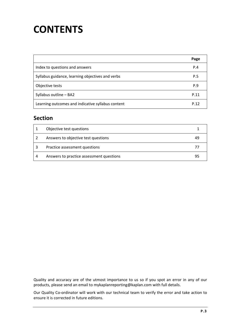# **CONTENTS**

|                                                   | Page |
|---------------------------------------------------|------|
| Index to questions and answers                    | P.4  |
| Syllabus guidance, learning objectives and verbs  | P.5  |
| Objective tests                                   | P.9  |
| Syllabus outline - BA2                            | P.11 |
| Learning outcomes and indicative syllabus content | P.12 |

### **Section**

| Objective test questions                 |    |
|------------------------------------------|----|
| Answers to objective test questions      | 49 |
| Practice assessment questions            | 77 |
| Answers to practice assessment questions | 95 |

Quality and accuracy are of the utmost importance to us so if you spot an error in any of our products, please send an email to mykaplanreporting@kaplan.com with full details.

Our Quality Co-ordinator will work with our technical team to verify the error and take action to ensure it is corrected in future editions.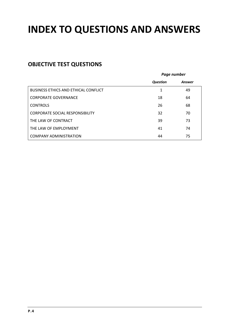# **INDEX TO QUESTIONS AND ANSWERS**

# **OBJECTIVE TEST QUESTIONS**

|                                             | Page number     |        |
|---------------------------------------------|-----------------|--------|
|                                             | <b>Question</b> | Answer |
| <b>BUSINESS ETHICS AND ETHICAL CONFLICT</b> | 1               | 49     |
| <b>CORPORATE GOVERNANCE</b>                 | 18              | 64     |
| <b>CONTROLS</b>                             | 26              | 68     |
| <b>CORPORATE SOCIAL RESPONSIBILITY</b>      | 32              | 70     |
| THE LAW OF CONTRACT                         | 39              | 73     |
| THE LAW OF EMPLOYMENT                       | 41              | 74     |
| <b>COMPANY ADMINISTRATION</b>               | 44              | 75     |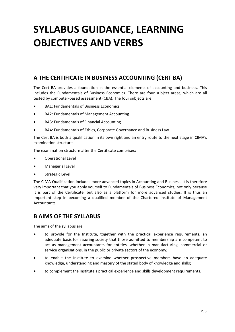# **SYLLABUS GUIDANCE, LEARNING OBJECTIVES AND VERBS**

### **A THE CERTIFICATE IN BUSINESS ACCOUNTING (CERT BA)**

The Cert BA provides a foundation in the essential elements of accounting and business. This includes the Fundamentals of Business Economics. There are four subject areas, which are all tested by computer‐based assessment (CBA). The four subjects are:

- BA1: Fundamentals of Business Economics
- BA2: Fundamentals of Management Accounting
- BA3: Fundamentals of Financial Accounting
- BA4: Fundamentals of Ethics, Corporate Governance and Business Law

The Cert BA is both a qualification in its own right and an entry route to the next stage in CIMA's examination structure.

The examination structure after the Certificate comprises:

- Operational Level
- Managerial Level
- Strategic Level

The CIMA Qualification includes more advanced topics in Accounting and Business. It is therefore very important that you apply yourself to Fundamentals of Business Economics, not only because it is part of the Certificate, but also as a platform for more advanced studies. It is thus an important step in becoming a qualified member of the Chartered Institute of Management **Accountants** 

### **B AIMS OF THE SYLLABUS**

The aims of the syllabus are

- to provide for the Institute, together with the practical experience requirements, an adequate basis for assuring society that those admitted to membership are competent to act as management accountants for entities, whether in manufacturing, commercial or service organisations, in the public or private sectors of the economy;
- to enable the Institute to examine whether prospective members have an adequate knowledge, understanding and mastery of the stated body of knowledge and skills;
- to complement the Institute's practical experience and skills development requirements.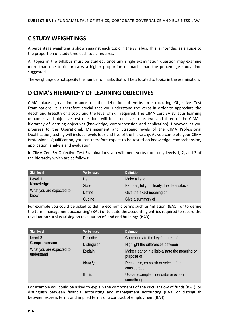### **C STUDY WEIGHTINGS**

A percentage weighting is shown against each topic in the syllabus. This is intended as a guide to the proportion of study time each topic requires.

All topics in the syllabus must be studied, since any single examination question may examine more than one topic, or carry a higher proportion of marks than the percentage study time suggested.

The weightings do not specify the number of marks that will be allocated to topics in the examination.

### **D CIMA'S HIERARCHY OF LEARNING OBJECTIVES**

CIMA places great importance on the definition of verbs in structuring Objective Test Examinations. It is therefore crucial that you understand the verbs in order to appreciate the depth and breadth of a topic and the level of skill required. The CIMA Cert BA syllabus learning outcomes and objective test questions will focus on levels one, two and three of the CIMA's hierarchy of learning objectives (knowledge, comprehension and application). However, as you progress to the Operational, Management and Strategic levels of the CIMA Professional Qualification, testing will include levels four and five of the hierarchy. As you complete your CIMA Professional Qualification, you can therefore expect to be tested on knowledge, comprehension, application, analysis and evaluation.

In CIMA Cert BA Objective Test Examinations you will meet verbs from only levels 1, 2, and 3 of the hierarchy which are as follows:

| Skill level              | Verbs used   | <b>Definition</b>                               |
|--------------------------|--------------|-------------------------------------------------|
| Level 1                  | List         | Make a list of                                  |
| Knowledge                | <b>State</b> | Express, fully or clearly, the details/facts of |
| What you are expected to | Define       | Give the exact meaning of                       |
| know                     | Outline      | Give a summary of                               |

For example you could be asked to define economic terms such as 'inflation' (BA1), or to define the term 'management accounting' (BA2) or to state the accounting entries required to record the revaluation surplus arising on revaluation of land and buildings (BA3).

| <b>Skill level</b>                     | Verbs used         | <b>Definition</b>                                             |
|----------------------------------------|--------------------|---------------------------------------------------------------|
| Level 2                                | <b>Describe</b>    | Communicate the key features of                               |
| Comprehension                          | <b>Distinguish</b> | Highlight the differences between                             |
| What you are expected to<br>understand | Explain            | Make clear or intelligible/state the meaning or<br>purpose of |
|                                        | Identify           | Recognise, establish or select after<br>consideration         |
|                                        | <b>Illustrate</b>  | Use an example to describe or explain<br>something            |

For example you could be asked to explain the components of the circular flow of funds (BA1), or distinguish between financial accounting and management accounting (BA3) or distinguish between express terms and implied terms of a contract of employment (BA4).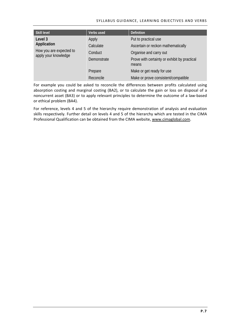#### SYLLABUS GUIDANCE, LEARNING OBJECTIVES AND VERBS

| <b>Skill level</b>                              | Verbs used  | <b>Definition</b>                                     |
|-------------------------------------------------|-------------|-------------------------------------------------------|
| Level 3                                         | Apply       | Put to practical use                                  |
| Application                                     | Calculate   | Ascertain or reckon mathematically                    |
| How you are expected to<br>apply your knowledge | Conduct     | Organise and carry out                                |
|                                                 | Demonstrate | Prove with certainty or exhibit by practical<br>means |
|                                                 | Prepare     | Make or get ready for use                             |
|                                                 | Reconcile   | Make or prove consistent/compatible                   |

For example you could be asked to reconcile the differences between profits calculated using absorption costing and marginal costing (BA2), or to calculate the gain or loss on disposal of a noncurrent asset (BA3) or to apply relevant principles to determine the outcome of a law‐based or ethical problem (BA4).

For reference, levels 4 and 5 of the hierarchy require demonstration of analysis and evaluation skills respectively. Further detail on levels 4 and 5 of the hierarchy which are tested in the CIMA Professional Qualification can be obtained from the CIMA website, www.cimaglobal.com.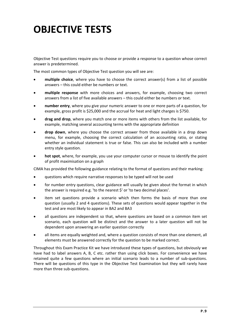# **OBJECTIVE TESTS**

Objective Test questions require you to choose or provide a response to a question whose correct answer is predetermined.

The most common types of Objective Test question you will see are:

- **multiple choice**, where you have to choose the correct answer(s) from a list of possible answers – this could either be numbers or text.
- **multiple response** with more choices and answers, for example, choosing two correct answers from a list of five available answers – this could either be numbers or text.
- **number entry**, where you give your numeric answer to one or more parts of a question, for example, gross profit is \$25,000 and the accrual for heat and light charges is \$750.
- **drag and drop**, where you match one or more items with others from the list available, for example, matching several accounting terms with the appropriate definition
- **drop down**, where you choose the correct answer from those available in a drop down menu, for example, choosing the correct calculation of an accounting ratio, or stating whether an individual statement is true or false. This can also be included with a number entry style question.
- **hot spot**, where, for example, you use your computer cursor or mouse to identify the point of profit maximisation on a graph

CIMA has provided the following guidance relating to the format of questions and their marking:

- questions which require narrative responses to be typed will not be used
- for number entry questions, clear guidance will usually be given about the format in which the answer is required e.g. 'to the nearest \$' or 'to two decimal places'.
- item set questions provide a scenario which then forms the basis of more than one question (usually 2 and 4 questions). These sets of questions would appear together in the test and are most likely to appear in BA2 and BA3
- all questions are independent so that, where questions are based on a common item set scenario, each question will be distinct and the answer to a later question will not be dependent upon answering an earlier question correctly
- all items are equally weighted and, where a question consists of more than one element, all elements must be answered correctly for the question to be marked correct.

Throughout this Exam Practice Kit we have introduced these types of questions, but obviously we have had to label answers A, B, C etc. rather than using click boxes. For convenience we have retained quite a few questions where an initial scenario leads to a number of sub-questions. There will be questions of this type in the Objective Test Examination but they will rarely have more than three sub‐questions.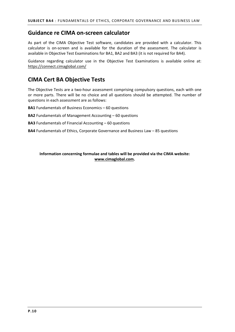#### **Guidance re CIMA on‐screen calculator**

As part of the CIMA Objective Test software, candidates are provided with a calculator. This calculator is on‐screen and is available for the duration of the assessment. The calculator is available in Objective Test Examinations for BA1, BA2 and BA3 (it is not required for BA4).

Guidance regarding calculator use in the Objective Test Examinations is available online at: https://connect.cimaglobal.com/

### **CIMA Cert BA Objective Tests**

The Objective Tests are a two-hour assessment comprising compulsory questions, each with one or more parts. There will be no choice and all questions should be attempted. The number of questions in each assessment are as follows:

**BA1** Fundamentals of Business Economics – 60 questions

**BA2** Fundamentals of Management Accounting – 60 questions

**BA3** Fundamentals of Financial Accounting – 60 questions

**BA4** Fundamentals of Ethics, Corporate Governance and Business Law – 85 questions

#### **Information concerning formulae and tables will be provided via the CIMA website: www.cimaglobal.com.**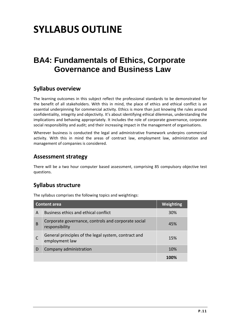# **SYLLABUS OUTLINE**

# **BA4: Fundamentals of Ethics, Corporate Governance and Business Law**

### **Syllabus overview**

The learning outcomes in this subject reflect the professional standards to be demonstrated for the benefit of all stakeholders. With this in mind, the place of ethics and ethical conflict is an essential underpinning for commercial activity. Ethics is more than just knowing the rules around confidentiality, integrity and objectivity. It's about identifying ethical dilemmas, understanding the implications and behaving appropriately. It includes the role of corporate governance, corporate social responsibility and audit; and their increasing impact in the management of organisations.

Wherever business is conducted the legal and administrative framework underpins commercial activity. With this in mind the areas of contract law, employment law, administration and management of companies is considered.

### **Assessment strategy**

There will be a two hour computer based assessment, comprising 85 compulsory objective test questions.

## **Syllabus structure**

The syllabus comprises the following topics and weightings:

| <b>Content area</b> |                                                                        | <b>Weighting</b> |
|---------------------|------------------------------------------------------------------------|------------------|
| A                   | Business ethics and ethical conflict                                   | <b>30%</b>       |
| B                   | Corporate governance, controls and corporate social<br>responsibility  | 45%              |
|                     | General principles of the legal system, contract and<br>employment law | 15%              |
| D                   | Company administration                                                 | 10%              |
|                     |                                                                        |                  |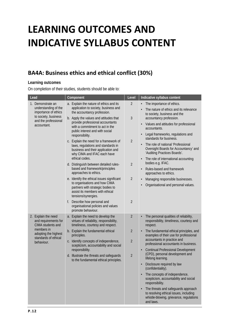# **LEARNING OUTCOMES AND INDICATIVE SYLLABUS CONTENT**

# **BA4A: Business ethics and ethical conflict (30%)**

#### **Learning outcomes**

| Lead                                                                                                                                         | Component                                                                                                                                                                                                                                                                                                                                                                            | Level                                              | Indicative syllabus content                                                                                                                                                                                                                                                                                                  |
|----------------------------------------------------------------------------------------------------------------------------------------------|--------------------------------------------------------------------------------------------------------------------------------------------------------------------------------------------------------------------------------------------------------------------------------------------------------------------------------------------------------------------------------------|----------------------------------------------------|------------------------------------------------------------------------------------------------------------------------------------------------------------------------------------------------------------------------------------------------------------------------------------------------------------------------------|
| 1. Demonstrate an<br>understanding of the<br>importance of ethics<br>to society, business<br>and the professional<br>accountant.             | a. Explain the nature of ethics and its<br>application to society, business and<br>the accountancy profession.                                                                                                                                                                                                                                                                       | $\overline{2}$                                     | The importance of ethics.<br>$\bullet$<br>The nature of ethics and its relevance<br>to society, business and the                                                                                                                                                                                                             |
|                                                                                                                                              | b. Apply the values and attitudes that<br>provide professional accountants<br>with a commitment to act in the<br>public interest and with social<br>responsibility.<br>c. Explain the need for a framework of<br>laws, regulations and standards in<br>business and their application and<br>why CIMA and IFAC each have<br>ethical codes.<br>d. Distinguish between detailed rules- | 3<br>$\overline{2}$<br>$\overline{2}$              | accountancy profession.<br>Values and attitudes for professional<br>accountants.<br>Legal frameworks, regulations and<br>standards for business.<br>The role of national 'Professional<br>Oversight Boards for Accountancy' and<br>'Auditing Practices Boards'.<br>The role of international accounting<br>bodies e.g. IFAC. |
|                                                                                                                                              | based and framework/principles<br>approaches to ethics.<br>e. Identify the ethical issues significant<br>to organisations and how CIMA<br>partners with strategic bodies to<br>assist its members with ethical<br>tensions/synergies.                                                                                                                                                | $\overline{2}$                                     | Rules-based and framework<br>approaches to ethics.<br>Managing responsible businesses.<br>Organisational and personal values.                                                                                                                                                                                                |
|                                                                                                                                              | f. Describe how personal and<br>organisational policies and values<br>promote behaviour.                                                                                                                                                                                                                                                                                             | $\overline{2}$                                     |                                                                                                                                                                                                                                                                                                                              |
| 2. Explain the need<br>and requirements for<br>CIMA students and<br>members in<br>adopting the highest<br>standards of ethical<br>behaviour. | a. Explain the need to develop the<br>virtues of reliability, responsibility,<br>timeliness, courtesy and respect.                                                                                                                                                                                                                                                                   | $\overline{2}$                                     | The personal qualities of reliability,<br>responsibility, timeliness, courtesy and<br>respect.                                                                                                                                                                                                                               |
|                                                                                                                                              | b. Explain the fundamental ethical<br>principles.<br>c. Identify concepts of independence,<br>scepticism, accountability and social<br>responsibility.<br>d. Illustrate the threats and safeguards<br>to the fundamental ethical principles.                                                                                                                                         | $\overline{2}$<br>$\overline{2}$<br>$\overline{2}$ | The fundamental ethical principles, and<br>examples of their use for professional<br>accountants in practice and<br>professional accountants in business.<br><b>Continual Professional Development</b><br>(CPD), personal development and<br>lifelong learning.                                                              |
|                                                                                                                                              |                                                                                                                                                                                                                                                                                                                                                                                      |                                                    | Disclosure required by law<br>(confidentiality).<br>The concepts of independence,<br>scepticism, accountability and social                                                                                                                                                                                                   |
|                                                                                                                                              |                                                                                                                                                                                                                                                                                                                                                                                      |                                                    | responsibility.<br>The threats and safeguards approach<br>to resolving ethical issues, including<br>whistle-blowing, grievance, regulations<br>and laws.                                                                                                                                                                     |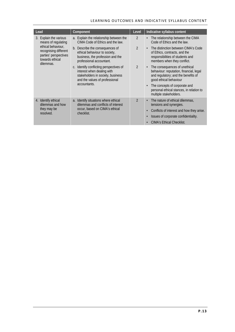#### LEARNING OUTCOMES AND INDICATIVE SYLLABUS CONTENT

| Lead                                                                                                                                                  | Component                                                                                                                                    | Level          | Indicative syllabus content                                                                                                                            |  |
|-------------------------------------------------------------------------------------------------------------------------------------------------------|----------------------------------------------------------------------------------------------------------------------------------------------|----------------|--------------------------------------------------------------------------------------------------------------------------------------------------------|--|
| 3. Explain the various<br>means of regulating<br>ethical behaviour,<br>recognising different<br>parties' perspectives<br>towards ethical<br>dilemmas. | a. Explain the relationship between the<br>CIMA Code of Ethics and the law.                                                                  | $\mathfrak{D}$ | The relationship between the CIMA<br>$\bullet$<br>Code of Ethics and the law.                                                                          |  |
|                                                                                                                                                       | b. Describe the consequences of<br>ethical behaviour to society,<br>business, the profession and the<br>professional accountant.             | $\mathcal{P}$  | The distinction between CIMA's Code<br>$\bullet$<br>of Ethics, contracts, and the<br>responsibilities of students and<br>members when they conflict.   |  |
|                                                                                                                                                       | c. Identify conflicting perspectives of<br>interest when dealing with<br>stakeholders in society, business<br>and the values of professional | $\mathfrak{D}$ | The consequences of unethical<br>$\bullet$<br>behaviour: reputation, financial, legal<br>and regulatory; and the benefits of<br>good ethical behaviour |  |
|                                                                                                                                                       | accountants.                                                                                                                                 |                | The concepts of corporate and<br>$\bullet$<br>personal ethical stances, in relation to<br>multiple stakeholders.                                       |  |
| 4. Identify ethical<br>dilemmas and how<br>they may be<br>resolved.                                                                                   | a. Identify situations where ethical<br>dilemmas and conflicts of interest<br>occur, based on CIMA's ethical<br>checklist.                   | $\mathfrak{D}$ | The nature of ethical dilemmas,<br>$\bullet$<br>tensions and synergies.                                                                                |  |
|                                                                                                                                                       |                                                                                                                                              |                | Conflicts of interest and how they arise.<br>$\bullet$                                                                                                 |  |
|                                                                                                                                                       |                                                                                                                                              |                | Issues of corporate confidentiality.<br>$\bullet$                                                                                                      |  |
|                                                                                                                                                       |                                                                                                                                              |                | <b>CIMA's Ethical Checklist.</b><br>$\bullet$                                                                                                          |  |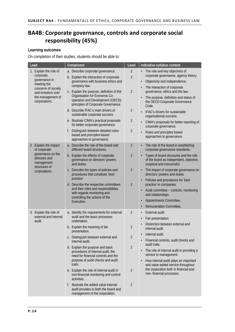# **BA4B: Corporate governance, controls and corporate social BA4B: responsibility (45%)**

#### **Learning outcomes**

| Lead                                                                                                                                                   | Component                                                                                                                                                    | Level                            | Indicative syllabus content                                                                                                                                                      |
|--------------------------------------------------------------------------------------------------------------------------------------------------------|--------------------------------------------------------------------------------------------------------------------------------------------------------------|----------------------------------|----------------------------------------------------------------------------------------------------------------------------------------------------------------------------------|
| 1. Explain the role of<br>corporate<br>governance in<br>meeting the<br>concerns of society<br>and investors over<br>the management of<br>corporations. | a. Describe corporate governance.<br>b. Explain the interaction of corporate<br>governance with business ethics and<br>company law.                          | $\overline{2}$<br>$\overline{2}$ | The role and key objectives of<br>corporate governance, agency theory.<br>Objectivity and independence.<br>$\bullet$<br>The interaction of corporate                             |
|                                                                                                                                                        | c. Explain the purpose, definition of the<br>Organisation for Economic Co-<br>operation and Development (OECD)<br>principles of Corporate Governance.        | $\overline{2}$                   | governance, ethics and the law.<br>The purpose, definition and status of<br>the OECD Corporate Governance<br>Code.                                                               |
|                                                                                                                                                        | d. Describe IFAC's main drivers of<br>sustainable corporate success.                                                                                         | $\overline{2}$                   | • IFAC's drivers for sustainable<br>organisational success.                                                                                                                      |
|                                                                                                                                                        | e. Illustrate CIMA's practical proposals<br>for better corporate governance.                                                                                 | $\overline{2}$                   | CIMA's proposals for better reporting of<br>corporate governance.                                                                                                                |
|                                                                                                                                                        | Distinguish between detailed rules-<br>f.<br>based and principles-based<br>approaches to governance.                                                         | $\overline{2}$                   | Rules and principles based<br>approaches to governance.                                                                                                                          |
| 2. Explain the impact<br>of corporate                                                                                                                  | a. Describe the role of the board and<br>different board structures.                                                                                         | $\overline{2}$                   | The role of the board in establishing<br>corporate governance standards.                                                                                                         |
| governance on the<br>directors and<br>management<br>structures of                                                                                      | b. Explain the effects of corporate<br>governance on directors' powers<br>and duties.                                                                        | $\overline{2}$                   | Types of board structures and the role<br>of the board as independent, objective,<br>sceptical and resourceful.                                                                  |
| corporations.                                                                                                                                          | c. Describe the types of policies and<br>procedures that constitute 'best                                                                                    | $\overline{2}$                   | The impact of corporate governance on<br>directors' powers and duties.                                                                                                           |
|                                                                                                                                                        | practice'.<br>d. Describe the respective committees                                                                                                          | $\overline{2}$                   | Policies and procedures for 'best<br>practice' in companies.                                                                                                                     |
|                                                                                                                                                        | and their roles and responsibilities<br>with regards monitoring and<br>controlling the actions of the<br>Executive.                                          |                                  | Audit committee - controls, monitoring<br>and relationships.                                                                                                                     |
|                                                                                                                                                        |                                                                                                                                                              |                                  | Appointments Committee.                                                                                                                                                          |
|                                                                                                                                                        |                                                                                                                                                              | $\overline{2}$                   | Remuneration Committee.<br>$\bullet$<br>External audit.                                                                                                                          |
| 3. Explain the role of<br>external and internal<br>audit.                                                                                              | a. Identify the requirements for external<br>audit and the basic processes<br>undertaken.                                                                    |                                  | Fair presentation.                                                                                                                                                               |
|                                                                                                                                                        | b. Explain the meaning of fair<br>presentation.                                                                                                              | $\overline{2}$                   | Distinction between external and<br>internal audit.                                                                                                                              |
|                                                                                                                                                        | c. Distinguish between external and<br>internal audit.                                                                                                       | $\overline{\phantom{a}}$         | Internal audit.<br>Financial controls, audit checks and                                                                                                                          |
|                                                                                                                                                        | d. Explain the purpose and basic<br>procedures of internal audit; the<br>need for financial controls and the<br>purpose of audit checks and audit<br>trails. | $\overline{2}$                   | audit trails.<br>The role of internal audit in providing a<br>service to management.<br>How internal audit plays an important<br>$\bullet$<br>and value added service throughout |
|                                                                                                                                                        | e. Explain the role of internal audit in<br>non-financial monitoring and control<br>activities.                                                              | $\overline{2}$                   | the corporation both in financial and<br>non- financial processes.                                                                                                               |
|                                                                                                                                                        | f. Illustrate the added value internal<br>audit provides to both the board and<br>management of the corporation.                                             | $\overline{2}$                   |                                                                                                                                                                                  |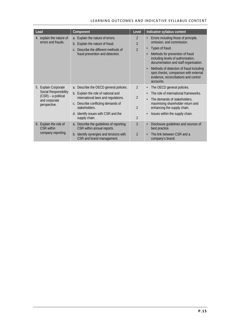#### LEARNING OUTCOMES AND INDICATIVE SYLLABUS CONTENT

| Lead                                                                          | Component                                                                               | Level                            | Indicative syllabus content                                                                                                                                                                                           |
|-------------------------------------------------------------------------------|-----------------------------------------------------------------------------------------|----------------------------------|-----------------------------------------------------------------------------------------------------------------------------------------------------------------------------------------------------------------------|
| 4. explain the nature of<br>errors and frauds.                                | a. Explain the nature of errors.<br>b. Explain the nature of fraud.                     | $\overline{2}$<br>$\overline{2}$ | Errors including those of principle,<br>omission, and commission.                                                                                                                                                     |
|                                                                               | Describe the different methods of<br>$\mathcal{C}$ .<br>fraud prevention and detection. | $\mathfrak{D}$                   | Types of fraud.<br>Methods for prevention of fraud<br>including levels of authorisation,<br>documentation and staff organisation.<br>Methods of detection of fraud including<br>spot checks, comparison with external |
|                                                                               |                                                                                         |                                  | evidence, reconciliations and control<br>accounts.                                                                                                                                                                    |
| 5. Explain Corporate                                                          | a. Describe the OECD general policies.                                                  | $\mathcal{P}$                    | The OECD general policies.<br>٠                                                                                                                                                                                       |
| Social Responsibility<br>(CSR) – a political<br>and corporate<br>perspective. | b. Explain the role of national and<br>international laws and regulations.              | $\overline{2}$                   | The role of international frameworks.                                                                                                                                                                                 |
|                                                                               | c. Describe conflicting demands of                                                      |                                  | The demands of stakeholders,<br>٠<br>maximising shareholder return and                                                                                                                                                |
|                                                                               | stakeholders.                                                                           | $\mathfrak{D}$                   | enhancing the supply chain.                                                                                                                                                                                           |
|                                                                               | Identify issues with CSR and the<br>$d_{\cdot}$<br>supply chain.                        | $\overline{2}$                   | Issues within the supply chain.                                                                                                                                                                                       |
| 6. Explain the role of<br><b>CSR</b> within                                   | a. Describe the guidelines of reporting<br>CSR within annual reports.                   | $\overline{2}$                   | Disclosure guidelines and sources of<br>best practice.                                                                                                                                                                |
| company reporting.                                                            | b. Identify synergies and tensions with<br>CSR and brand management.                    | $\mathfrak{D}$                   | The link between CSR and a<br>company's brand.                                                                                                                                                                        |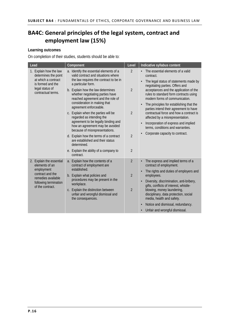# **BA4C: General principles of the legal system, contract and BA4C: employment law (15%)**

#### **Learning outcomes**

| Lead                                                                                                                                | Component                                                                                                                                                                                                               | Level                            | Indicative syllabus content                                                                                                                                                                                     |
|-------------------------------------------------------------------------------------------------------------------------------------|-------------------------------------------------------------------------------------------------------------------------------------------------------------------------------------------------------------------------|----------------------------------|-----------------------------------------------------------------------------------------------------------------------------------------------------------------------------------------------------------------|
| 1. Explain how the law<br>determines the point<br>at which a contract<br>is formed and the<br>legal status of<br>contractual terms. | a. Identify the essential elements of a<br>valid contract and situations where<br>the law requires the contract to be in<br>a particular form.<br>b. Explain how the law determines<br>whether negotiating parties have | $\overline{2}$<br>$\mathfrak{D}$ | The essential elements of a valid<br>contract.<br>The legal status of statements made by<br>negotiating parties. Offers and<br>acceptances and the application of the<br>rules to standard form contracts using |
|                                                                                                                                     | reached agreement and the role of<br>consideration in making that<br>agreement enforceable.                                                                                                                             |                                  | modern forms of communication.<br>The principles for establishing that the<br>parties intend their agreement to have                                                                                            |
|                                                                                                                                     | c. Explain when the parties will be<br>regarded as intending the                                                                                                                                                        | $\overline{2}$                   | contractual force and how a contract is<br>affected by a misrepresentation.                                                                                                                                     |
|                                                                                                                                     | agreement to be legally binding and<br>how an agreement may be avoided<br>because of misrepresentations.                                                                                                                |                                  | Incorporation of express and implied<br>terms, conditions and warranties.                                                                                                                                       |
|                                                                                                                                     | d. Explain how the terms of a contract<br>are established and their status<br>determined.                                                                                                                               | $\overline{2}$                   | Corporate capacity to contract.                                                                                                                                                                                 |
|                                                                                                                                     | e. Explain the ability of a company to<br>contract.                                                                                                                                                                     | $\overline{2}$                   |                                                                                                                                                                                                                 |
| 2. Explain the essential<br>elements of an                                                                                          | a. Explain how the contents of a<br>contract of employment are                                                                                                                                                          | $\mathfrak{D}$                   | The express and implied terms of a<br>contract of employment.                                                                                                                                                   |
| employment<br>contract and the                                                                                                      | established.<br>b. Explain what policies and                                                                                                                                                                            | $\overline{2}$                   | The rights and duties of employers and<br>employees.                                                                                                                                                            |
| remedies available<br>following termination<br>of the contract.                                                                     | procedures may be present in the<br>workplace.                                                                                                                                                                          |                                  | Diversity, discrimination, anti-bribery,<br>gifts, conflicts of interest, whistle-                                                                                                                              |
|                                                                                                                                     | c. Explain the distinction between<br>unfair and wrongful dismissal and<br>the consequences.                                                                                                                            | $\overline{2}$                   | blowing, money laundering,<br>disciplinary, data protection, social<br>media, health and safety.                                                                                                                |
|                                                                                                                                     |                                                                                                                                                                                                                         |                                  | Notice and dismissal, redundancy.                                                                                                                                                                               |
|                                                                                                                                     |                                                                                                                                                                                                                         |                                  | Unfair and wrongful dismissal.                                                                                                                                                                                  |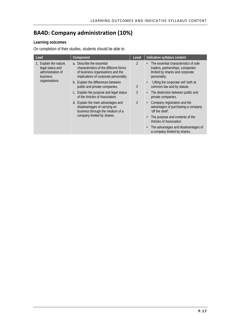# **BA4D: Company administration (10%)**

#### **Learning outcomes**

| Lead                                                                                          | Component                                                                                                                                          | Level          | Indicative syllabus content                                                                                                               |
|-----------------------------------------------------------------------------------------------|----------------------------------------------------------------------------------------------------------------------------------------------------|----------------|-------------------------------------------------------------------------------------------------------------------------------------------|
| 1. Explain the nature,<br>legal status and<br>administration of<br>business<br>organisations. | a. Describe the essential<br>characteristics of the different forms<br>of business organisations and the<br>implications of corporate personality. | $\mathfrak{D}$ | The essential characteristics of sole<br>$\bullet$<br>traders, partnerships, companies<br>limited by shares and corporate<br>personality. |
|                                                                                               | b. Explain the differences between<br>public and private companies.                                                                                | $\mathfrak{D}$ | 'Lifting the corporate veil' both at<br>common law and by statute.                                                                        |
|                                                                                               | c. Explain the purpose and legal status<br>of the Articles of Association.                                                                         | $\mathfrak{D}$ | The distinction between public and<br>$\bullet$<br>private companies.                                                                     |
|                                                                                               | d. Explain the main advantages and<br>disadvantages of carrying on<br>business through the medium of a<br>company limited by shares.               | $\mathfrak{D}$ | Company registration and the<br>advantages of purchasing a company<br>'off the shelf'.                                                    |
|                                                                                               |                                                                                                                                                    |                | The purpose and contents of the<br>Articles of Association.                                                                               |
|                                                                                               |                                                                                                                                                    |                | The advantages and disadvantages of<br>a company limited by shares.                                                                       |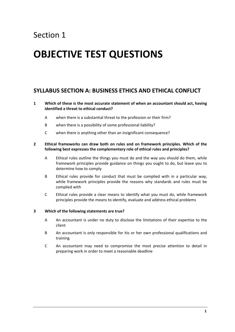# Section 1

# **OBJECTIVE TEST QUESTIONS**

### **SYLLABUS SECTION A: BUSINESS ETHICS AND ETHICAL CONFLICT**

- **1 Which of these is the most accurate statement of when an accountant should act, having identified a threat to ethical conduct?**
	- A when there is a substantial threat to the profession or their firm?
	- B when there is a possibility of some professional liability?
	- C when there is anything other than an insignificant consequence?

#### **2 Ethical frameworks can draw both on rules and on framework principles. Which of the following best expresses the complementary role of ethical rules and principles?**

- A Ethical rules outline the things you must do and the way you should do them, while framework principles provide guidance on things you ought to do, but leave you to determine how to comply
- B Ethical rules provide for conduct that must be complied with in a particular way, while framework principles provide the reasons why standards and rules must be complied with
- C Ethical rules provide a clear means to identify what you must do, while framework principles provide the means to identify, evaluate and address ethical problems

#### **3 Which of the following statements are true?**

- A An accountant is under no duty to disclose the limitations of their expertise to the client
- B An accountant is only responsible for his or her own professional qualifications and training
- C An accountant may need to compromise the most precise attention to detail in preparing work in order to meet a reasonable deadline